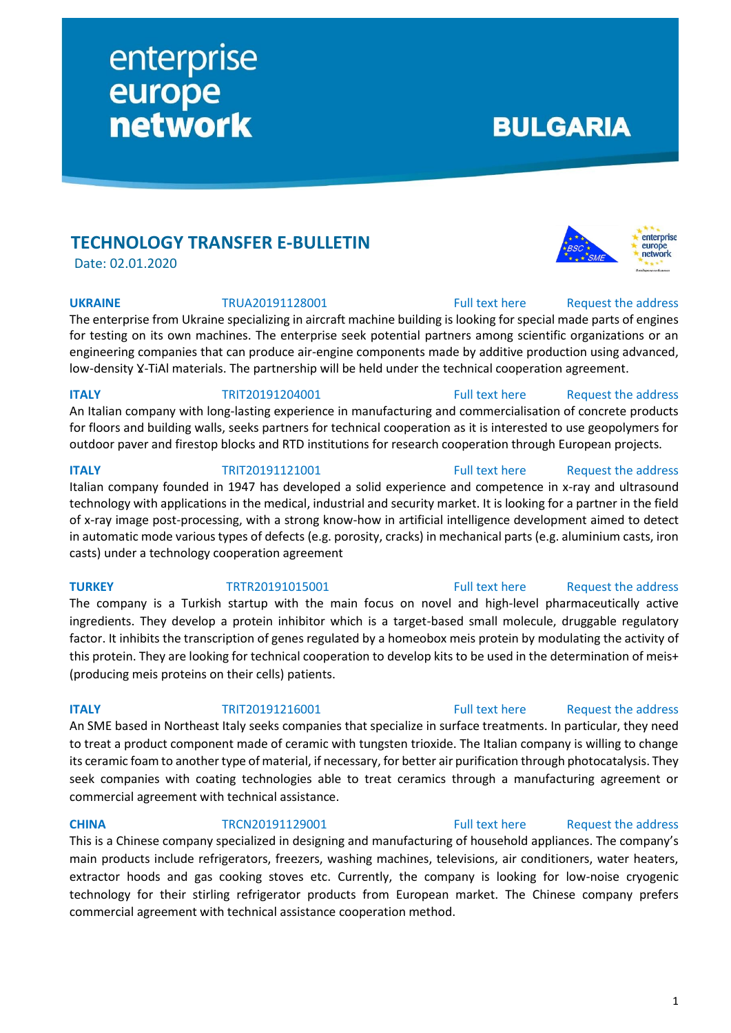**TECHNOLOGY TRANSFER E-BULLETIN**

enterprise

network

europe

Date: 02.01.2020

**UKRAINE** TRUA20191128001 [Full text here](https://een.ec.europa.eu/tools/services/PRO/Profile/Detail/90e00fad-9714-4f93-a52b-7e3bc191173e) Request the address

The enterprise from Ukraine specializing in aircraft machine building is looking for special made parts of engines for testing on its own machines. The enterprise seek potential partners among scientific organizations or an engineering companies that can produce air-engine components made by additive production using advanced, low-density Y-TiAl materials. The partnership will be held under the technical cooperation agreement.

An Italian company with long-lasting experience in manufacturing and commercialisation of concrete products for floors and building walls, seeks partners for technical cooperation as it is interested to use geopolymers for outdoor paver and firestop blocks and RTD institutions for research cooperation through European projects.

Italian company founded in 1947 has developed a solid experience and competence in x-ray and ultrasound technology with applications in the medical, industrial and security market. It is looking for a partner in the field

# casts) under a technology cooperation agreement

**TURKEY** TRTR20191015001 [Full text here](https://een.ec.europa.eu/tools/services/PRO/Profile/Detail/56b88024-487b-4b0c-ad23-d931dd8e712d) Request [the address](http://www.een.bg/index.php?option=com_rsform&formId=13) The company is a Turkish startup with the main focus on novel and high-level pharmaceutically active ingredients. They develop a protein inhibitor which is a target-based small molecule, druggable regulatory factor. It inhibits the transcription of genes regulated by a homeobox meis protein by modulating the activity of this protein. They are looking for technical cooperation to develop kits to be used in the determination of meis+ (producing meis proteins on their cells) patients.

## **ITALY TRIT20191216001** [Full text here](https://een.ec.europa.eu/tools/services/PRO/Profile/Detail/70c71111-8111-4183-99dc-8da5afc90de8) Request the address

An SME based in Northeast Italy seeks companies that specialize in surface treatments. In particular, they need to treat a product component made of ceramic with tungsten trioxide. The Italian company is willing to change its ceramic foam to another type of material, if necessary, for better air purification through photocatalysis. They seek companies with coating technologies able to treat ceramics through a manufacturing agreement or commercial agreement with technical assistance.

**CHINA** TRCN20191129001 [Full text here](https://een.ec.europa.eu/tools/services/PRO/Profile/Detail/0ffc20dc-ed99-4dc6-83dd-f8cbc8860ae7) Request the address

This is a Chinese company specialized in designing and manufacturing of household appliances. The company's main products include refrigerators, freezers, washing machines, televisions, air conditioners, water heaters, extractor hoods and gas cooking stoves etc. Currently, the company is looking for low-noise cryogenic technology for their stirling refrigerator products from European market. The Chinese company prefers commercial agreement with technical assistance cooperation method.

**ITALY** TRIT20191204001 [Full text here](https://een.ec.europa.eu/tools/services/PRO/Profile/Detail/376caf8d-bcc7-48ec-8954-40d8e6f8a843) Request the address

**ITALY** TRIT20191121001 [Full text here](https://een.ec.europa.eu/tools/services/PRO/Profile/Detail/2f19b289-d997-467c-b47a-eb52015a9417) Request [the address](http://www.een.bg/index.php?option=com_rsform&formId=13)





**BULGARIA** 

enterprise europe network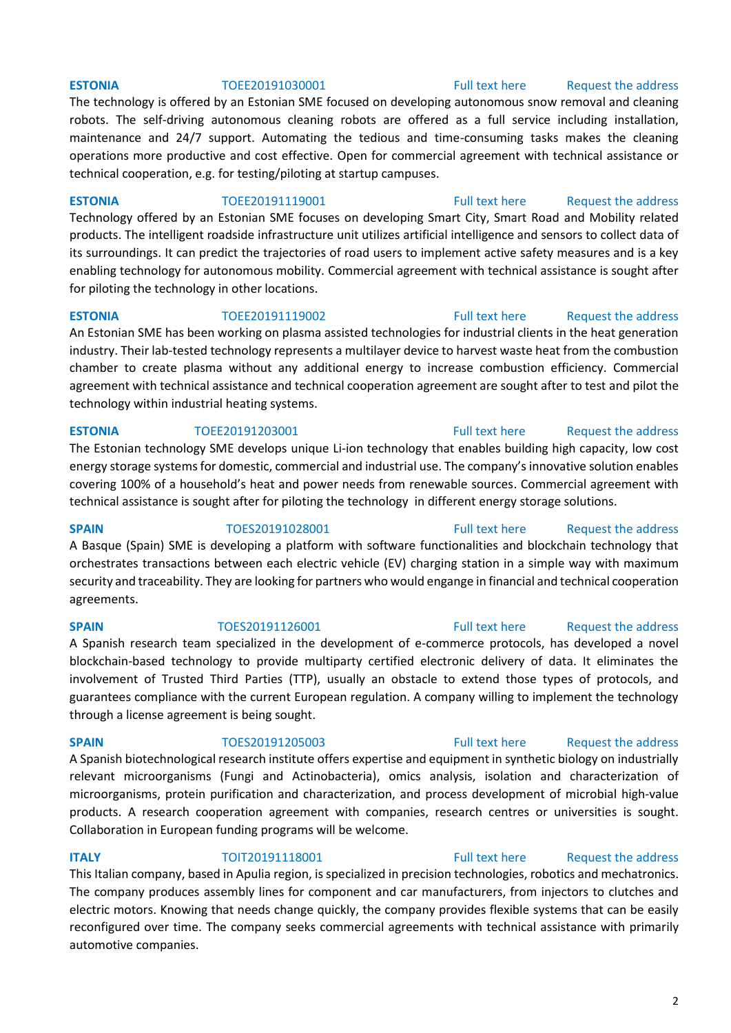### **ESTONIA** TOEE20191030001 [Full text here](https://een.ec.europa.eu/tools/services/PRO/Profile/Detail/bb19911c-33f5-4025-9462-a338d1bbf845) Request [the address](http://www.een.bg/index.php?option=com_rsform&formId=13)

The technology is offered by an Estonian SME focused on developing autonomous snow removal and cleaning robots. The self-driving autonomous cleaning robots are offered as a full service including installation, maintenance and 24/7 support. Automating the tedious and time-consuming tasks makes the cleaning operations more productive and cost effective. Open for commercial agreement with technical assistance or technical cooperation, e.g. for testing/piloting at startup campuses.

**ESTONIA** TOEE20191119001 [Full text here](https://een.ec.europa.eu/tools/services/PRO/Profile/Detail/14e616a5-5f85-42f7-b38a-ed7810886926) Request [the address](http://www.een.bg/index.php?option=com_rsform&formId=13)

Technology offered by an Estonian SME focuses on developing Smart City, Smart Road and Mobility related products. The intelligent roadside infrastructure unit utilizes artificial intelligence and sensors to collect data of its surroundings. It can predict the trajectories of road users to implement active safety measures and is a key enabling technology for autonomous mobility. Commercial agreement with technical assistance is sought after for piloting the technology in other locations.

**ESTONIA** TOEE20191119002 [Full text here](https://een.ec.europa.eu/tools/services/PRO/Profile/Detail/d890e141-4528-461f-a384-0bd81a0f2536) Request the address An Estonian SME has been working on plasma assisted technologies for industrial clients in the heat generation industry. Their lab-tested technology represents a multilayer device to harvest waste heat from the combustion chamber to create plasma without any additional energy to increase combustion efficiency. Commercial agreement with technical assistance and technical cooperation agreement are sought after to test and pilot the technology within industrial heating systems.

The Estonian technology SME develops unique Li-ion technology that enables building high capacity, low cost energy storage systems for domestic, commercial and industrial use. The company's innovative solution enables covering 100% of a household's heat and power needs from renewable sources. Commercial agreement with technical assistance is sought after for piloting the technology in different energy storage solutions.

**SPAIN** TOES20191028001 [Full text here](https://een.ec.europa.eu/tools/services/PRO/Profile/Detail/e9acc071-4fdf-447e-a85b-8d846580ec1f) Request [the address](http://www.een.bg/index.php?option=com_rsform&formId=13) A Basque (Spain) SME is developing a platform with software functionalities and blockchain technology that orchestrates transactions between each electric vehicle (EV) charging station in a simple way with maximum security and traceability. They are looking for partners who would engange in financial and technical cooperation agreements.

A Spanish research team specialized in the development of e-commerce protocols, has developed a novel blockchain-based technology to provide multiparty certified electronic delivery of data. It eliminates the involvement of Trusted Third Parties (TTP), usually an obstacle to extend those types of protocols, and guarantees compliance with the current European regulation. A company willing to implement the technology through a license agreement is being sought.

A Spanish biotechnological research institute offers expertise and equipment in synthetic biology on industrially relevant microorganisms (Fungi and Actinobacteria), omics analysis, isolation and characterization of microorganisms, protein purification and characterization, and process development of microbial high-value products. A research cooperation agreement with companies, research centres or universities is sought. Collaboration in European funding programs will be welcome.

# **ITALY TOIT20191118001** [Full text here](https://een.ec.europa.eu/tools/services/PRO/Profile/Detail/83b5be13-d942-4cfe-9c82-ddd24d2e657b) Request the address

This Italian company, based in Apulia region, is specialized in precision technologies, robotics and mechatronics. The company produces assembly lines for component and car manufacturers, from injectors to clutches and electric motors. Knowing that needs change quickly, the company provides flexible systems that can be easily reconfigured over time. The company seeks commercial agreements with technical assistance with primarily automotive companies.

## **ESTONIA** TOEE20191203001 [Full text here](https://een.ec.europa.eu/tools/services/PRO/Profile/Detail/5b7d2262-e47c-4cff-86fa-d9a285dae9cd) Request the address

## **SPAIN** TOES20191126001 [Full text here](https://een.ec.europa.eu/tools/services/PRO/Profile/Detail/c19b2ce4-4867-4e56-9950-027b52604023) Request the address

## **SPAIN** TOES20191205003 [Full text here](https://een.ec.europa.eu/tools/services/PRO/Profile/Detail/2d00982e-d414-4d8b-8233-fdf62e2c9b13) Request the address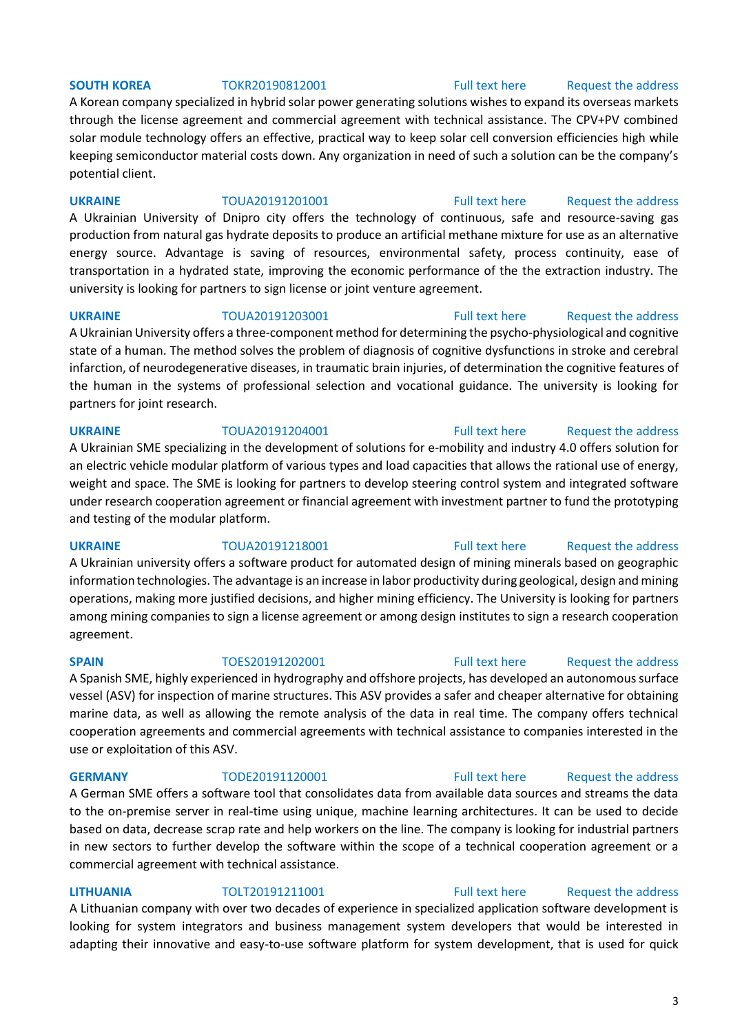## **SOUTH KOREA** TOKR20190812001 [Full text here](https://een.ec.europa.eu/tools/services/PRO/Profile/Detail/216a83d9-536f-4584-bd32-f9e03eac40ed) Request the address

A Korean company specialized in hybrid solar power generating solutions wishes to expand its overseas markets through the license agreement and commercial agreement with technical assistance. The CPV+PV combined solar module technology offers an effective, practical way to keep solar cell conversion efficiencies high while keeping semiconductor material costs down. Any organization in need of such a solution can be the company's potential client.

## **UKRAINE** TOUA20191201001 [Full text here](https://een.ec.europa.eu/tools/services/PRO/Profile/Detail/1fcb0ee6-ec2b-484d-abb9-29a09721f75b) Request the address

A Ukrainian University of Dnipro city offers the technology of continuous, safe and resource-saving gas production from natural gas hydrate deposits to produce an artificial methane mixture for use as an alternative energy source. Advantage is saving of resources, environmental safety, process continuity, ease of transportation in a hydrated state, improving the economic performance of the the extraction industry. The university is looking for partners to sign license or joint venture agreement.

**UKRAINE** TOUA20191203001 [Full text here](https://een.ec.europa.eu/tools/services/PRO/Profile/Detail/f14d51a9-05a7-4408-a1e5-0ea016b01f6c) Request the address A Ukrainian University offers a three-component method for determining the psycho-physiological and cognitive state of a human. The method solves the problem of diagnosis of cognitive dysfunctions in stroke and cerebral infarction, of neurodegenerative diseases, in traumatic brain injuries, of determination the cognitive features of the human in the systems of professional selection and vocational guidance. The university is looking for partners for joint research.

## **UKRAINE** TOUA20191204001 [Full text here](https://een.ec.europa.eu/tools/services/PRO/Profile/Detail/c56bce68-4f40-44bf-ba65-75897ca481cb) Request the address

A Ukrainian SME specializing in the development of solutions for e-mobility and industry 4.0 offers solution for an electric vehicle modular platform of various types and load capacities that allows the rational use of energy, weight and space. The SME is looking for partners to develop steering control system and integrated software under research cooperation agreement or financial agreement with investment partner to fund the prototyping and testing of the modular platform.

A Ukrainian university offers a software product for automated design of mining minerals based on geographic information technologies. The advantage is an increase in labor productivity during geological, design and mining operations, making more justified decisions, and higher mining efficiency. The University is looking for partners among mining companies to sign a license agreement or among design institutes to sign a research cooperation agreement.

## A Spanish SME, highly experienced in hydrography and offshore projects, has developed an autonomous surface vessel (ASV) for inspection of marine structures. This ASV provides a safer and cheaper alternative for obtaining marine data, as well as allowing the remote analysis of the data in real time. The company offers technical cooperation agreements and commercial agreements with technical assistance to companies interested in the use or exploitation of this ASV.

A German SME offers a software tool that consolidates data from available data sources and streams the data to the on-premise server in real-time using unique, machine learning architectures. It can be used to decide based on data, decrease scrap rate and help workers on the line. The company is looking for industrial partners in new sectors to further develop the software within the scope of a technical cooperation agreement or a commercial agreement with technical assistance.

## **LITHUANIA** TOLT20191211001 [Full text here](https://een.ec.europa.eu/tools/services/PRO/Profile/Detail/3edb948d-694e-4f4f-9d21-17ac8e0f5e68) [Request the address](http://www.een.bg/index.php?option=com_rsform&formId=13)

A Lithuanian company with over two decades of experience in specialized application software development is looking for system integrators and business management system developers that would be interested in adapting their innovative and easy-to-use software platform for system development, that is used for quick

## 3

# **UKRAINE** TOUA20191218001 [Full text here](https://een.ec.europa.eu/tools/services/PRO/Profile/Detail/4f57381c-3a5a-4bdc-8f4e-1df980461824) Request the address

# **GERMANY** TODE20191120001 [Full text here](https://een.ec.europa.eu/tools/services/PRO/Profile/Detail/40f6eaec-24e7-408c-91b9-639c0abc8e7c) Request the address

## **SPAIN** TOES20191202001 [Full text here](https://een.ec.europa.eu/tools/services/PRO/Profile/Detail/9cd8c880-1ce5-4de6-9a64-f1f8b6125c90) Request the address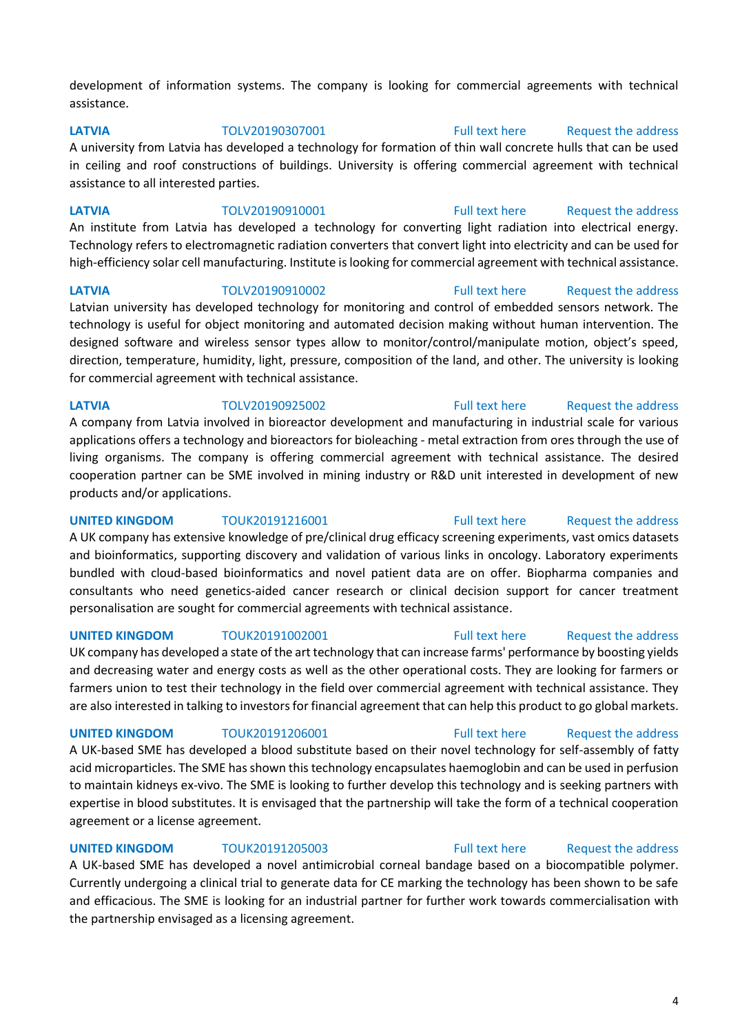development of information systems. The company is looking for commercial agreements with technical assistance.

**LATVIA** TOLV20190307001 [Full text here](https://een.ec.europa.eu/tools/services/PRO/Profile/Detail/283660bc-11f7-4e75-9f04-429d976a2bbc) [Request the address](http://www.een.bg/index.php?option=com_rsform&formId=13)  A university from Latvia has developed a technology for formation of thin wall concrete hulls that can be used in ceiling and roof constructions of buildings. University is offering commercial agreement with technical assistance to all interested parties.

**LATVIA** TOLV20190910001 [Full text here](https://een.ec.europa.eu/tools/services/PRO/Profile/Detail/d4dfb9d8-561a-426d-a33a-a6332c9d08e7) [Request the address](http://www.een.bg/index.php?option=com_rsform&formId=13)  An institute from Latvia has developed a technology for converting light radiation into electrical energy. Technology refers to electromagnetic radiation converters that convert light into electricity and can be used for high-efficiency solar cell manufacturing. Institute is looking for commercial agreement with technical assistance.

**LATVIA** TOLV20190910002 [Full text here](https://een.ec.europa.eu/tools/services/PRO/Profile/Detail/3fb20f1f-dec4-4201-a8d2-f3c7512dc014) [Request the address](http://www.een.bg/index.php?option=com_rsform&formId=13)  Latvian university has developed technology for monitoring and control of embedded sensors network. The technology is useful for object monitoring and automated decision making without human intervention. The designed software and wireless sensor types allow to monitor/control/manipulate motion, object's speed, direction, temperature, humidity, light, pressure, composition of the land, and other. The university is looking for commercial agreement with technical assistance.

**LATVIA** TOLV20190925002 [Full text here](https://een.ec.europa.eu/tools/services/PRO/Profile/Detail/ae6f3acb-278d-4627-8f1c-fec29a82c145) [Request the address](http://www.een.bg/index.php?option=com_rsform&formId=13)  A company from Latvia involved in bioreactor development and manufacturing in industrial scale for various applications offers a technology and bioreactors for bioleaching - metal extraction from ores through the use of living organisms. The company is offering commercial agreement with technical assistance. The desired cooperation partner can be SME involved in mining industry or R&D unit interested in development of new products and/or applications.

**UNITED KINGDOM** TOUK20191216001 [Full text here](https://een.ec.europa.eu/tools/services/PRO/Profile/Detail/ebc8019d-3ca2-4fdc-a0d9-0b34db38b76e) Request the address A UK company has extensive knowledge of pre/clinical drug efficacy screening experiments, vast omics datasets and bioinformatics, supporting discovery and validation of various links in oncology. Laboratory experiments bundled with cloud-based bioinformatics and novel patient data are on offer. Biopharma companies and consultants who need genetics-aided cancer research or clinical decision support for cancer treatment personalisation are sought for commercial agreements with technical assistance.

UK company has developed a state of the art technology that can increase farms' performance by boosting yields and decreasing water and energy costs as well as the other operational costs. They are looking for farmers or farmers union to test their technology in the field over commercial agreement with technical assistance. They are also interested in talking to investors for financial agreement that can help this product to go global markets.

A UK-based SME has developed a blood substitute based on their novel technology for self-assembly of fatty acid microparticles. The SME has shown this technology encapsulates haemoglobin and can be used in perfusion to maintain kidneys ex-vivo. The SME is looking to further develop this technology and is seeking partners with expertise in blood substitutes. It is envisaged that the partnership will take the form of a technical cooperation agreement or a license agreement.

## **UNITED KINGDOM** TOUK20191205003 [Full text here](https://een.ec.europa.eu/tools/services/PRO/Profile/Detail/9db9ec82-c051-4507-9ba7-f00b2ebb3284) Request the address

A UK-based SME has developed a novel antimicrobial corneal bandage based on a biocompatible polymer. Currently undergoing a clinical trial to generate data for CE marking the technology has been shown to be safe and efficacious. The SME is looking for an industrial partner for further work towards commercialisation with the partnership envisaged as a licensing agreement.

## **UNITED KINGDOM** TOUK20191002001 [Full text here](https://een.ec.europa.eu/tools/services/PRO/Profile/Detail/cd0750e7-cc7a-4b11-8148-9438d4692f84) Request the address

# **UNITED KINGDOM** TOUK20191206001 [Full text here](https://een.ec.europa.eu/tools/services/PRO/Profile/Detail/b57c500f-38d5-41e3-98e7-a84cd7d46c20) Request the address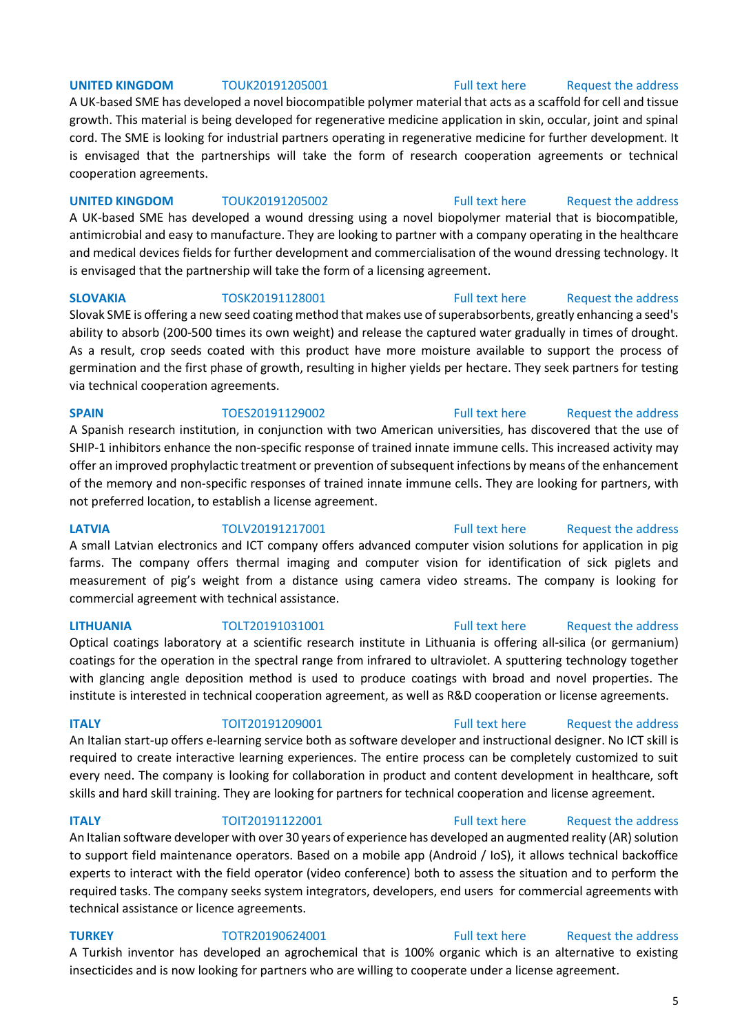## **UNITED KINGDOM** TOUK20191205001 [Full text here](https://een.ec.europa.eu/tools/services/PRO/Profile/Detail/50f2dd1f-f7fb-47c2-b395-4859d95759ea) Request the address

A UK-based SME has developed a novel biocompatible polymer material that acts as a scaffold for cell and tissue growth. This material is being developed for regenerative medicine application in skin, occular, joint and spinal cord. The SME is looking for industrial partners operating in regenerative medicine for further development. It is envisaged that the partnerships will take the form of research cooperation agreements or technical cooperation agreements.

## **UNITED KINGDOM** TOUK20191205002 [Full text here](https://een.ec.europa.eu/tools/services/PRO/Profile/Detail/70d7c1f6-199f-45a3-b7ba-dffaf2f803c5) Request the address

A UK-based SME has developed a wound dressing using a novel biopolymer material that is biocompatible, antimicrobial and easy to manufacture. They are looking to partner with a company operating in the healthcare and medical devices fields for further development and commercialisation of the wound dressing technology. It is envisaged that the partnership will take the form of a licensing agreement.

Slovak SME is offering a new seed coating method that makes use of superabsorbents, greatly enhancing a seed's ability to absorb (200-500 times its own weight) and release the captured water gradually in times of drought. As a result, crop seeds coated with this product have more moisture available to support the process of germination and the first phase of growth, resulting in higher yields per hectare. They seek partners for testing via technical cooperation agreements.

### **SPAIN** TOES20191129002 [Full text here](https://een.ec.europa.eu/tools/services/PRO/Profile/Detail/6ad0e0d7-80d4-4a37-a99c-b1dcfd1ad37c) Request the address

A Spanish research institution, in conjunction with two American universities, has discovered that the use of SHIP-1 inhibitors enhance the non-specific response of trained innate immune cells. This increased activity may offer an improved prophylactic treatment or prevention of subsequent infections by means of the enhancement of the memory and non-specific responses of trained innate immune cells. They are looking for partners, with not preferred location, to establish a license agreement.

**LATVIA** TOLV20191217001 [Full text here](https://een.ec.europa.eu/tools/services/PRO/Profile/Detail/b967031f-f47d-479c-bc53-2440a8e48829) Request the address A small Latvian electronics and ICT company offers advanced computer vision solutions for application in pig farms. The company offers thermal imaging and computer vision for identification of sick piglets and measurement of pig's weight from a distance using camera video streams. The company is looking for commercial agreement with technical assistance.

## **LITHUANIA** TOLT20191031001 [Full text here](https://een.ec.europa.eu/tools/services/PRO/Profile/Detail/8034369a-81fe-4b2c-8d02-43001f37601e) [Request the address](http://www.een.bg/index.php?option=com_rsform&formId=13)

Optical coatings laboratory at a scientific research institute in Lithuania is offering all-silica (or germanium) coatings for the operation in the spectral range from infrared to ultraviolet. A sputtering technology together with glancing angle deposition method is used to produce coatings with broad and novel properties. The institute is interested in technical cooperation agreement, as well as R&D cooperation or license agreements.

**ITALY TOIT20191209001** [Full text here](https://een.ec.europa.eu/tools/services/PRO/Profile/Detail/1fffe79d-9ebc-4783-bb42-75fb510fba51) Request the address

An Italian start-up offers e-learning service both as software developer and instructional designer. No ICT skill is required to create interactive learning experiences. The entire process can be completely customized to suit every need. The company is looking for collaboration in product and content development in healthcare, soft skills and hard skill training. They are looking for partners for technical cooperation and license agreement.

## **ITALY TOIT20191122001** [Full text here](https://een.ec.europa.eu/tools/services/PRO/Profile/Detail/fd5e77c2-2298-448b-a3aa-b89aa14fad55) Request the address

An Italian software developer with over 30 years of experience has developed an augmented reality (AR) solution to support field maintenance operators. Based on a mobile app (Android / IoS), it allows technical backoffice experts to interact with the field operator (video conference) both to assess the situation and to perform the required tasks. The company seeks system integrators, developers, end users for commercial agreements with technical assistance or licence agreements.

# **TURKEY** TOTR20190624001 [Full text here](https://een.ec.europa.eu/tools/services/PRO/Profile/Detail/f2431cf5-37aa-4d2d-850b-3261c02904d5) Request the address

A Turkish inventor has developed an agrochemical that is 100% organic which is an alternative to existing insecticides and is now looking for partners who are willing to cooperate under a license agreement.

5

**SLOVAKIA** TOSK20191128001 [Full text here](https://een.ec.europa.eu/tools/services/PRO/Profile/Detail/a7aaca4c-a092-47b8-8928-4533ab7ceae7) Request the address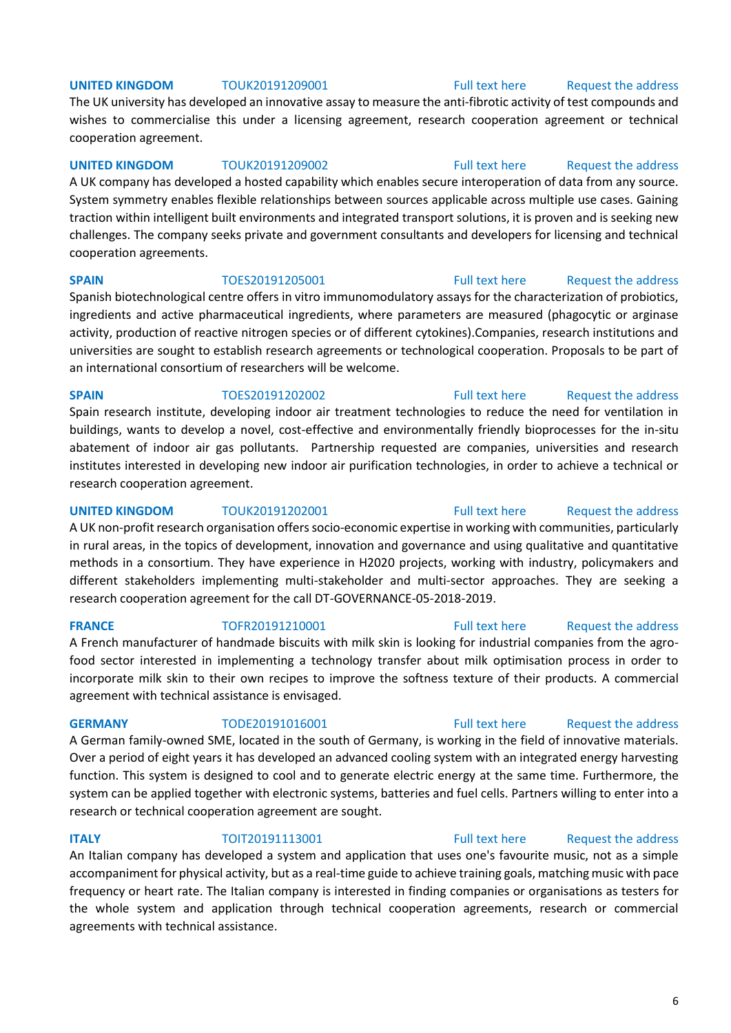## **UNITED KINGDOM** TOUK20191209001 [Full text here](https://een.ec.europa.eu/tools/services/PRO/Profile/Detail/8f3c017d-0be1-43e8-a31c-d8a4f7b36405) Request the address

The UK university has developed an innovative assay to measure the anti-fibrotic activity of test compounds and wishes to commercialise this under a licensing agreement, research cooperation agreement or technical cooperation agreement.

## **UNITED KINGDOM** TOUK20191209002 **Full text here** Request the address

A UK company has developed a hosted capability which enables secure interoperation of data from any source. System symmetry enables flexible relationships between sources applicable across multiple use cases. Gaining traction within intelligent built environments and integrated transport solutions, it is proven and is seeking new challenges. The company seeks private and government consultants and developers for licensing and technical cooperation agreements.

## **SPAIN** TOES20191205001 [Full text here](https://een.ec.europa.eu/tools/services/PRO/Profile/Detail/9ef724f7-9ecd-43c6-8b37-714d5b448d09) Request the address

Spanish biotechnological centre offers in vitro immunomodulatory assays for the characterization of probiotics, ingredients and active pharmaceutical ingredients, where parameters are measured (phagocytic or arginase activity, production of reactive nitrogen species or of different cytokines).Companies, research institutions and universities are sought to establish research agreements or technological cooperation. Proposals to be part of an international consortium of researchers will be welcome.

**SPAIN** TOES20191202002 [Full text here](https://een.ec.europa.eu/tools/services/PRO/Profile/Detail/bf4ef8e8-bfaa-4a05-a934-e8fabe64c675) Request the address Spain research institute, developing indoor air treatment technologies to reduce the need for ventilation in buildings, wants to develop a novel, cost-effective and environmentally friendly bioprocesses for the in-situ abatement of indoor air gas pollutants. Partnership requested are companies, universities and research institutes interested in developing new indoor air purification technologies, in order to achieve a technical or research cooperation agreement.

## **UNITED KINGDOM** TOUK20191202001 [Full text here](https://een.ec.europa.eu/tools/services/PRO/Profile/Detail/c15c7351-5bfc-4291-86ef-ed4c10d9bf29) Request the address A UK non-profit research organisation offers socio-economic expertise in working with communities, particularly in rural areas, in the topics of development, innovation and governance and using qualitative and quantitative methods in a consortium. They have experience in H2020 projects, working with industry, policymakers and different stakeholders implementing multi-stakeholder and multi-sector approaches. They are seeking a research cooperation agreement for the call DT-GOVERNANCE-05-2018-2019.

A French manufacturer of handmade biscuits with milk skin is looking for industrial companies from the agrofood sector interested in implementing a technology transfer about milk optimisation process in order to incorporate milk skin to their own recipes to improve the softness texture of their products. A commercial agreement with technical assistance is envisaged.

A German family-owned SME, located in the south of Germany, is working in the field of innovative materials. Over a period of eight years it has developed an advanced cooling system with an integrated energy harvesting function. This system is designed to cool and to generate electric energy at the same time. Furthermore, the system can be applied together with electronic systems, batteries and fuel cells. Partners willing to enter into a research or technical cooperation agreement are sought.

## **ITALY TOIT20191113001** [Full text here](https://een.ec.europa.eu/tools/services/PRO/Profile/Detail/e50eb703-9a5b-4838-8ccc-f4bf661ccf86) Request the address

An Italian company has developed a system and application that uses one's favourite music, not as a simple accompaniment for physical activity, but as a real-time guide to achieve training goals, matching music with pace frequency or heart rate. The Italian company is interested in finding companies or organisations as testers for the whole system and application through technical cooperation agreements, research or commercial agreements with technical assistance.

### 6

## **FRANCE** TOFR20191210001 [Full text here](https://een.ec.europa.eu/tools/services/PRO/Profile/Detail/f5ed892b-0871-47c0-9c08-4771465c33e4) Request the address

# **GERMANY** TODE20191016001 [Full text here](https://een.ec.europa.eu/tools/services/PRO/Profile/Detail/cee3641b-dce7-422a-8c71-9da18cd359ca) Request the address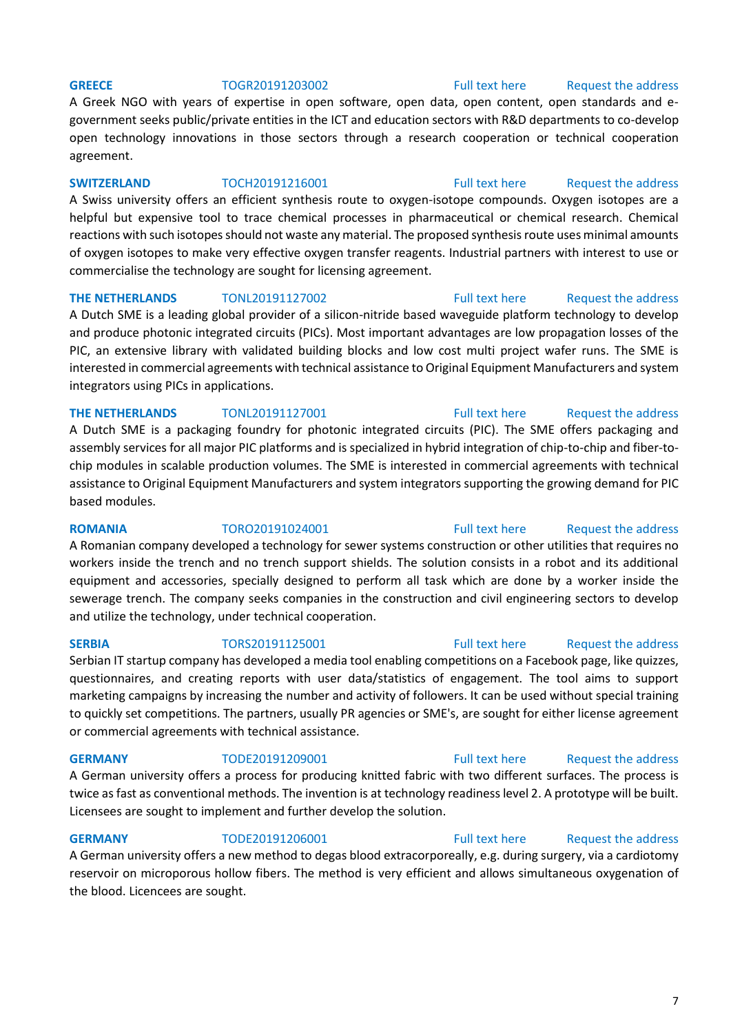### **GREECE** TOGR20191203002 [Full text here](https://een.ec.europa.eu/tools/services/PRO/Profile/Detail/3be76000-8b2b-4ed9-a1a6-20dd0147f76b) Request the address

A Greek NGO with years of expertise in open software, open data, open content, open standards and egovernment seeks public/private entities in the ICT and education sectors with R&D departments to co-develop open technology innovations in those sectors through a research cooperation or technical cooperation agreement.

**SWITZERLAND** TOCH20191216001 [Full text here](https://een.ec.europa.eu/tools/services/PRO/Profile/Detail/0d9fa021-5101-466e-8f54-68860d96538f) Request the address A Swiss university offers an efficient synthesis route to oxygen-isotope compounds. Oxygen isotopes are a helpful but expensive tool to trace chemical processes in pharmaceutical or chemical research. Chemical reactions with such isotopes should not waste any material. The proposed synthesis route uses minimal amounts of oxygen isotopes to make very effective oxygen transfer reagents. Industrial partners with interest to use or commercialise the technology are sought for licensing agreement.

### **THE NETHERLANDS** TONL20191127002 [Full text here](https://een.ec.europa.eu/tools/services/PRO/Profile/Detail/560323d8-d080-4c05-b9be-10ac1670855a) Request the address

A Dutch SME is a leading global provider of a silicon-nitride based waveguide platform technology to develop and produce photonic integrated circuits (PICs). Most important advantages are low propagation losses of the PIC, an extensive library with validated building blocks and low cost multi project wafer runs. The SME is interested in commercial agreements with technical assistance to Original Equipment Manufacturers and system integrators using PICs in applications.

**THE NETHERLANDS** TONL20191127001 [Full text here](https://een.ec.europa.eu/tools/services/PRO/Profile/Detail/c63383b6-348c-4e5d-aa8d-16becfdf9793) Request the address A Dutch SME is a packaging foundry for photonic integrated circuits (PIC). The SME offers packaging and assembly services for all major PIC platforms and is specialized in hybrid integration of chip-to-chip and fiber-tochip modules in scalable production volumes. The SME is interested in commercial agreements with technical assistance to Original Equipment Manufacturers and system integrators supporting the growing demand for PIC based modules.

**ROMANIA** TORO20191024001 [Full text here](https://een.ec.europa.eu/tools/services/PRO/Profile/Detail/ac74a608-0208-45e3-ab7a-346f912ea68c) Request the address A Romanian company developed a technology for sewer systems construction or other utilities that requires no workers inside the trench and no trench support shields. The solution consists in a robot and its additional equipment and accessories, specially designed to perform all task which are done by a worker inside the sewerage trench. The company seeks companies in the construction and civil engineering sectors to develop and utilize the technology, under technical cooperation.

## **SERBIA** TORS20191125001 [Full text here](https://een.ec.europa.eu/tools/services/PRO/Profile/Detail/ed27c328-66f1-41f4-afbc-07e94cc5e571) Request the address

Serbian IT startup company has developed a media tool enabling competitions on a Facebook page, like quizzes, questionnaires, and creating reports with user data/statistics of engagement. The tool aims to support marketing campaigns by increasing the number and activity of followers. It can be used without special training to quickly set competitions. The partners, usually PR agencies or SME's, are sought for either license agreement or commercial agreements with technical assistance.

**GERMANY** TODE20191209001 [Full text here](https://een.ec.europa.eu/tools/services/PRO/Profile/Detail/099395a5-f505-4cdb-b7df-77718c7424da) Request the address

A German university offers a process for producing knitted fabric with two different surfaces. The process is twice as fast as conventional methods. The invention is at technology readiness level 2. A prototype will be built. Licensees are sought to implement and further develop the solution.

**GERMANY** TODE20191206001 [Full text here](https://een.ec.europa.eu/tools/services/PRO/Profile/Detail/efe8b0b8-b7a2-4ad6-a822-a096fff2849f) Request the address

A German university offers a new method to degas blood extracorporeally, e.g. during surgery, via a cardiotomy reservoir on microporous hollow fibers. The method is very efficient and allows simultaneous oxygenation of the blood. Licencees are sought.